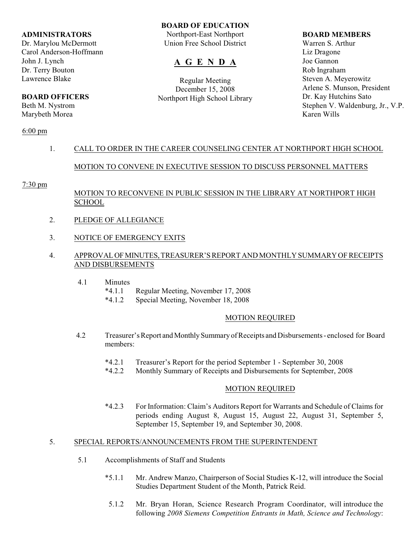#### **ADMINISTRATORS**

Dr. Marylou McDermott Carol Anderson-Hoffmann John J. Lynch Dr. Terry Bouton Lawrence Blake

# **BOARD OFFICERS**

Beth M. Nystrom Marybeth Morea

## 6:00 pm

## **BOARD OF EDUCATION**

Northport-East Northport Union Free School District

# **A G E N D A**

Regular Meeting December 15, 2008 Northport High School Library

#### **BOARD MEMBERS**

Warren S. Arthur Liz Dragone Joe Gannon Rob Ingraham Steven A. Meyerowitz Arlene S. Munson, President Dr. Kay Hutchins Sato Stephen V. Waldenburg, Jr., V.P. Karen Wills

# 1. CALL TO ORDER IN THE CAREER COUNSELING CENTER AT NORTHPORT HIGH SCHOOL

# MOTION TO CONVENE IN EXECUTIVE SESSION TO DISCUSS PERSONNEL MATTERS

#### 7:30 pm

# MOTION TO RECONVENE IN PUBLIC SESSION IN THE LIBRARY AT NORTHPORT HIGH SCHOOL

- 2. PLEDGE OF ALLEGIANCE
- 3. NOTICE OF EMERGENCY EXITS

## 4. APPROVAL OF MINUTES, TREASURER'S REPORT AND MONTHLY SUMMARY OF RECEIPTS AND DISBURSEMENTS

- 4.1 Minutes
	- \*4.1.1 Regular Meeting, November 17, 2008
	- \*4.1.2 Special Meeting, November 18, 2008

## MOTION REQUIRED

- 4.2 Treasurer's Report and Monthly Summary of Receipts and Disbursements enclosed for Board members:
	- \*4.2.1 Treasurer's Report for the period September 1 September 30, 2008
	- \*4.2.2 Monthly Summary of Receipts and Disbursements for September, 2008

## MOTION REQUIRED

\*4.2.3 For Information: Claim's Auditors Report for Warrants and Schedule of Claims for periods ending August 8, August 15, August 22, August 31, September 5, September 15, September 19, and September 30, 2008.

## 5. SPECIAL REPORTS/ANNOUNCEMENTS FROM THE SUPERINTENDENT

- 5.1 Accomplishments of Staff and Students
	- \*5.1.1 Mr. Andrew Manzo, Chairperson of Social Studies K-12, will introduce the Social Studies Department Student of the Month, Patrick Reid.
	- 5.1.2 Mr. Bryan Horan, Science Research Program Coordinator, will introduce the following *2008 Siemens Competition Entrants in Math, Science and Technology*: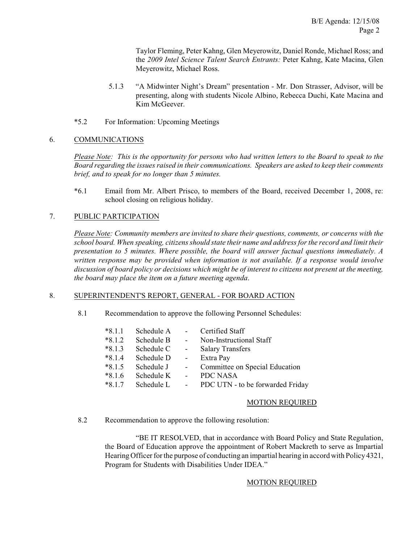Taylor Fleming, Peter Kahng, Glen Meyerowitz, Daniel Ronde, Michael Ross; and the *2009 Intel Science Talent Search Entrants:* Peter Kahng, Kate Macina, Glen Meyerowitz, Michael Ross.

- 5.1.3 "A Midwinter Night's Dream" presentation Mr. Don Strasser, Advisor, will be presenting, along with students Nicole Albino, Rebecca Duchi, Kate Macina and Kim McGeever.
- \*5.2 For Information: Upcoming Meetings

# 6. COMMUNICATIONS

*Please Note: This is the opportunity for persons who had written letters to the Board to speak to the Board regarding the issues raised in their communications. Speakers are asked to keep their comments brief, and to speak for no longer than 5 minutes.*

\*6.1 Email from Mr. Albert Prisco, to members of the Board, received December 1, 2008, re: school closing on religious holiday.

# 7. PUBLIC PARTICIPATION

*Please Note: Community members are invited to share their questions, comments, or concerns with the school board. When speaking, citizens should state their name and address for the record and limit their presentation to 5 minutes. Where possible, the board will answer factual questions immediately. A written response may be provided when information is not available. If a response would involve discussion of board policy or decisions which might be of interest to citizens not present at the meeting, the board may place the item on a future meeting agenda*.

## 8. SUPERINTENDENT'S REPORT, GENERAL - FOR BOARD ACTION

8.1 Recommendation to approve the following Personnel Schedules:

| $*8.1.1$ | Schedule A |                | Certified Staff                  |
|----------|------------|----------------|----------------------------------|
| $*8.1.2$ | Schedule B | $\blacksquare$ | Non-Instructional Staff          |
| $*8.1.3$ | Schedule C | $\sim$ $-$     | <b>Salary Transfers</b>          |
| $*8.1.4$ | Schedule D |                | Extra Pay                        |
| $*8.1.5$ | Schedule J | $\sim$ $-$     | Committee on Special Education   |
| $*8.1.6$ | Schedule K |                | PDC NASA                         |
| $*8.1.7$ | Schedule L |                | PDC UTN - to be forwarded Friday |

## MOTION REQUIRED

8.2 Recommendation to approve the following resolution:

"BE IT RESOLVED, that in accordance with Board Policy and State Regulation, the Board of Education approve the appointment of Robert Mackreth to serve as Impartial Hearing Officer for the purpose of conducting an impartial hearing in accord with Policy 4321, Program for Students with Disabilities Under IDEA."

## MOTION REQUIRED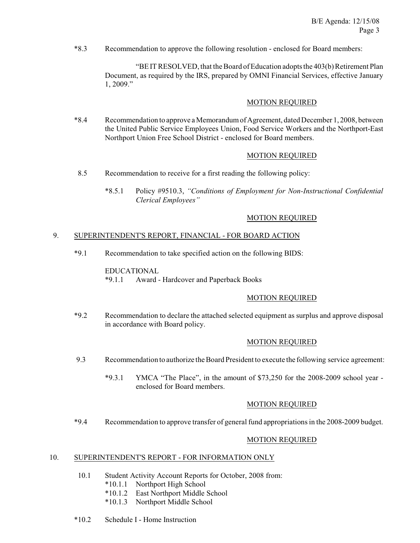\*8.3 Recommendation to approve the following resolution - enclosed for Board members:

"BE IT RESOLVED, that the Board of Education adopts the 403(b) Retirement Plan Document, as required by the IRS, prepared by OMNI Financial Services, effective January 1, 2009."

#### MOTION REQUIRED

\*8.4 Recommendation to approve a Memorandum of Agreement, dated December 1, 2008, between the United Public Service Employees Union, Food Service Workers and the Northport-East Northport Union Free School District - enclosed for Board members.

## MOTION REQUIRED

- 8.5 Recommendation to receive for a first reading the following policy:
	- \*8.5.1 Policy #9510.3, *"Conditions of Employment for Non-Instructional Confidential Clerical Employees"*

#### MOTION REQUIRED

#### 9. SUPERINTENDENT'S REPORT, FINANCIAL - FOR BOARD ACTION

\*9.1 Recommendation to take specified action on the following BIDS:

EDUCATIONAL \*9.1.1 Award - Hardcover and Paperback Books

## MOTION REQUIRED

\*9.2 Recommendation to declare the attached selected equipment as surplus and approve disposal in accordance with Board policy.

#### MOTION REQUIRED

- 9.3 Recommendation to authorize the Board President to execute the following service agreement:
	- \*9.3.1 YMCA "The Place", in the amount of \$73,250 for the 2008-2009 school year enclosed for Board members.

#### MOTION REQUIRED

\*9.4 Recommendation to approve transfer of general fund appropriations in the 2008-2009 budget.

## MOTION REQUIRED

#### 10. SUPERINTENDENT'S REPORT - FOR INFORMATION ONLY

- 10.1 Student Activity Account Reports for October, 2008 from:
	- \*10.1.1 Northport High School
	- \*10.1.2 East Northport Middle School
	- \*10.1.3 Northport Middle School
- \*10.2 Schedule I Home Instruction